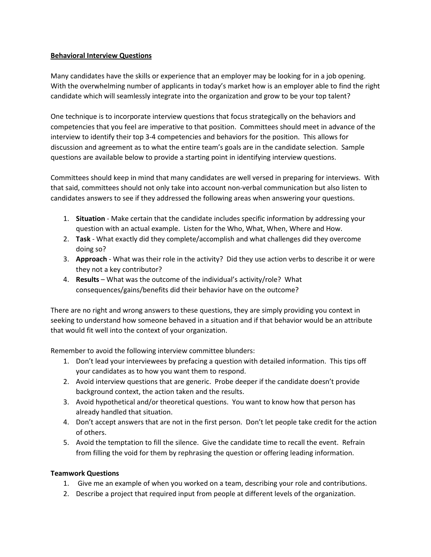# **Behavioral Interview Questions**

Many candidates have the skills or experience that an employer may be looking for in a job opening. With the overwhelming number of applicants in today's market how is an employer able to find the right candidate which will seamlessly integrate into the organization and grow to be your top talent?

One technique is to incorporate interview questions that focus strategically on the behaviors and competencies that you feel are imperative to that position. Committees should meet in advance of the interview to identify their top 3-4 competencies and behaviors for the position. This allows for discussion and agreement as to what the entire team's goals are in the candidate selection. Sample questions are available below to provide a starting point in identifying interview questions.

Committees should keep in mind that many candidates are well versed in preparing for interviews. With that said, committees should not only take into account non-verbal communication but also listen to candidates answers to see if they addressed the following areas when answering your questions.

- 1. **Situation** Make certain that the candidate includes specific information by addressing your question with an actual example. Listen for the Who, What, When, Where and How.
- 2. **Task**  What exactly did they complete/accomplish and what challenges did they overcome doing so?
- 3. **Approach** What was their role in the activity? Did they use action verbs to describe it or were they not a key contributor?
- 4. **Results** What was the outcome of the individual's activity/role? What consequences/gains/benefits did their behavior have on the outcome?

There are no right and wrong answers to these questions, they are simply providing you context in seeking to understand how someone behaved in a situation and if that behavior would be an attribute that would fit well into the context of your organization.

Remember to avoid the following interview committee blunders:

- 1. Don't lead your interviewees by prefacing a question with detailed information. This tips off your candidates as to how you want them to respond.
- 2. Avoid interview questions that are generic. Probe deeper if the candidate doesn't provide background context, the action taken and the results.
- 3. Avoid hypothetical and/or theoretical questions. You want to know how that person has already handled that situation.
- 4. Don't accept answers that are not in the first person. Don't let people take credit for the action of others.
- 5. Avoid the temptation to fill the silence. Give the candidate time to recall the event. Refrain from filling the void for them by rephrasing the question or offering leading information.

# **Teamwork Questions**

- 1. Give me an example of when you worked on a team, describing your role and contributions.
- 2. Describe a project that required input from people at different levels of the organization.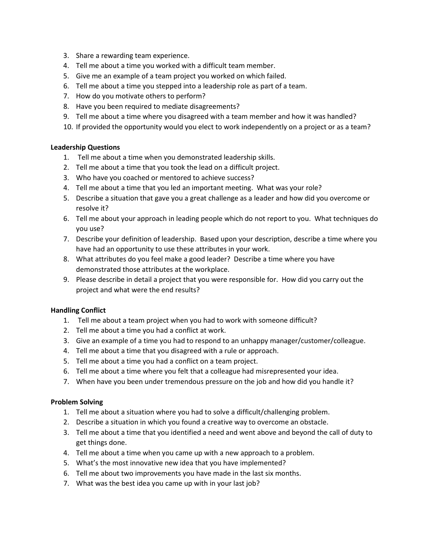- 3. Share a rewarding team experience.
- 4. Tell me about a time you worked with a difficult team member.
- 5. Give me an example of a team project you worked on which failed.
- 6. Tell me about a time you stepped into a leadership role as part of a team.
- 7. How do you motivate others to perform?
- 8. Have you been required to mediate disagreements?
- 9. Tell me about a time where you disagreed with a team member and how it was handled?
- 10. If provided the opportunity would you elect to work independently on a project or as a team?

### **Leadership Questions**

- 1. Tell me about a time when you demonstrated leadership skills.
- 2. Tell me about a time that you took the lead on a difficult project.
- 3. Who have you coached or mentored to achieve success?
- 4. Tell me about a time that you led an important meeting. What was your role?
- 5. Describe a situation that gave you a great challenge as a leader and how did you overcome or resolve it?
- 6. Tell me about your approach in leading people which do not report to you. What techniques do you use?
- 7. Describe your definition of leadership. Based upon your description, describe a time where you have had an opportunity to use these attributes in your work.
- 8. What attributes do you feel make a good leader? Describe a time where you have demonstrated those attributes at the workplace.
- 9. Please describe in detail a project that you were responsible for. How did you carry out the project and what were the end results?

### **Handling Conflict**

- 1. Tell me about a team project when you had to work with someone difficult?
- 2. Tell me about a time you had a conflict at work.
- 3. Give an example of a time you had to respond to an unhappy manager/customer/colleague.
- 4. Tell me about a time that you disagreed with a rule or approach.
- 5. Tell me about a time you had a conflict on a team project.
- 6. Tell me about a time where you felt that a colleague had misrepresented your idea.
- 7. When have you been under tremendous pressure on the job and how did you handle it?

### **Problem Solving**

- 1. Tell me about a situation where you had to solve a difficult/challenging problem.
- 2. Describe a situation in which you found a creative way to overcome an obstacle.
- 3. Tell me about a time that you identified a need and went above and beyond the call of duty to get things done.
- 4. Tell me about a time when you came up with a new approach to a problem.
- 5. What's the most innovative new idea that you have implemented?
- 6. Tell me about two improvements you have made in the last six months.
- 7. What was the best idea you came up with in your last job?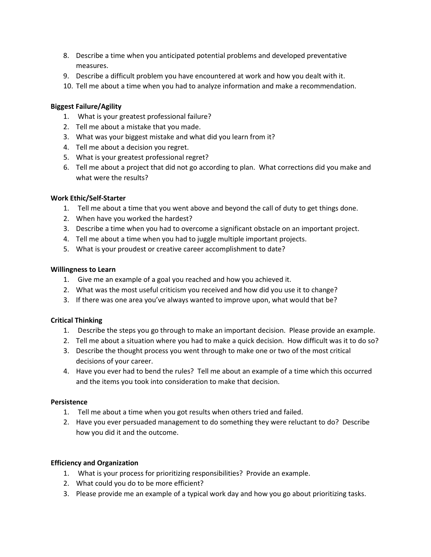- 8. Describe a time when you anticipated potential problems and developed preventative measures.
- 9. Describe a difficult problem you have encountered at work and how you dealt with it.
- 10. Tell me about a time when you had to analyze information and make a recommendation.

# **Biggest Failure/Agility**

- 1. What is your greatest professional failure?
- 2. Tell me about a mistake that you made.
- 3. What was your biggest mistake and what did you learn from it?
- 4. Tell me about a decision you regret.
- 5. What is your greatest professional regret?
- 6. Tell me about a project that did not go according to plan. What corrections did you make and what were the results?

### **Work Ethic/Self-Starter**

- 1. Tell me about a time that you went above and beyond the call of duty to get things done.
- 2. When have you worked the hardest?
- 3. Describe a time when you had to overcome a significant obstacle on an important project.
- 4. Tell me about a time when you had to juggle multiple important projects.
- 5. What is your proudest or creative career accomplishment to date?

#### **Willingness to Learn**

- 1. Give me an example of a goal you reached and how you achieved it.
- 2. What was the most useful criticism you received and how did you use it to change?
- 3. If there was one area you've always wanted to improve upon, what would that be?

### **Critical Thinking**

- 1. Describe the steps you go through to make an important decision. Please provide an example.
- 2. Tell me about a situation where you had to make a quick decision. How difficult was it to do so?
- 3. Describe the thought process you went through to make one or two of the most critical decisions of your career.
- 4. Have you ever had to bend the rules? Tell me about an example of a time which this occurred and the items you took into consideration to make that decision.

# **Persistence**

- 1. Tell me about a time when you got results when others tried and failed.
- 2. Have you ever persuaded management to do something they were reluctant to do? Describe how you did it and the outcome.

### **Efficiency and Organization**

- 1. What is your process for prioritizing responsibilities? Provide an example.
- 2. What could you do to be more efficient?
- 3. Please provide me an example of a typical work day and how you go about prioritizing tasks.